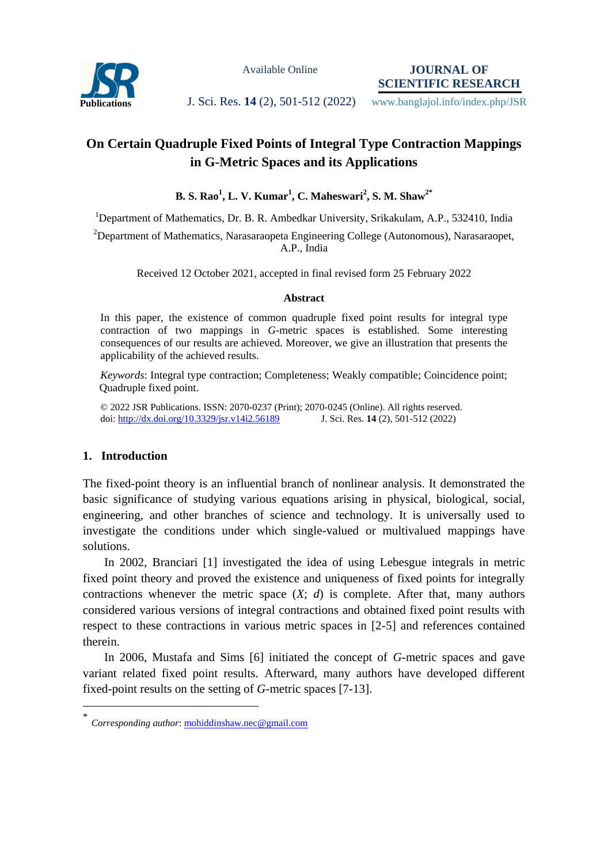

Available Online

**JOURNAL OF SCIENTIFIC RESEARCH**

Publications **J. Sci. Res. 14 (2), 501-512 (2022)** www.banglajol.info/index.php/JSR

# **On Certain Quadruple Fixed Points of Integral Type Contraction Mappings in G-Metric Spaces and its Applications**

**B. S. Rao<sup>1</sup> , L. V. Kumar<sup>1</sup> , C. Maheswari<sup>2</sup> , S. M. Shaw2\***

<sup>1</sup>Department of Mathematics, Dr. B. R. Ambedkar University, Srikakulam, A.P., 532410, India <sup>2</sup>Department of Mathematics, Narasaraopeta Engineering College (Autonomous), Narasaraopet, A.P., India

Received 12 October 2021, accepted in final revised form 25 February 2022

## **Abstract**

In this paper, the existence of common quadruple fixed point results for integral type contraction of two mappings in *G*-metric spaces is established. Some interesting consequences of our results are achieved. Moreover, we give an illustration that presents the applicability of the achieved results.

*Keywords*: Integral type contraction; Completeness; Weakly compatible; Coincidence point; Quadruple fixed point.

© 2022 JSR Publications. ISSN: 2070-0237 (Print); 2070-0245 (Online). All rights reserved. doi:<http://dx.doi.org/10.3329/jsr.v14i2.56189>J. Sci. Res. **14** (2), 501-512 (2022)

## **1. Introduction**

 $\overline{a}$ 

The fixed-point theory is an influential branch of nonlinear analysis. It demonstrated the basic significance of studying various equations arising in physical, biological, social, engineering, and other branches of science and technology. It is universally used to investigate the conditions under which single-valued or multivalued mappings have solutions.

 In 2002, Branciari [1] investigated the idea of using Lebesgue integrals in metric fixed point theory and proved the existence and uniqueness of fixed points for integrally contractions whenever the metric space  $(X; d)$  is complete. After that, many authors considered various versions of integral contractions and obtained fixed point results with respect to these contractions in various metric spaces in [2-5] and references contained therein.

 In 2006, Mustafa and Sims [6] initiated the concept of *G*-metric spaces and gave variant related fixed point results. Afterward, many authors have developed different fixed-point results on the setting of *G*-metric spaces [7-13].

<sup>\*</sup> *Corresponding author*[: mohiddinshaw.nec@gmail.com](mailto:mohiddinshaw.nec@gmail.com)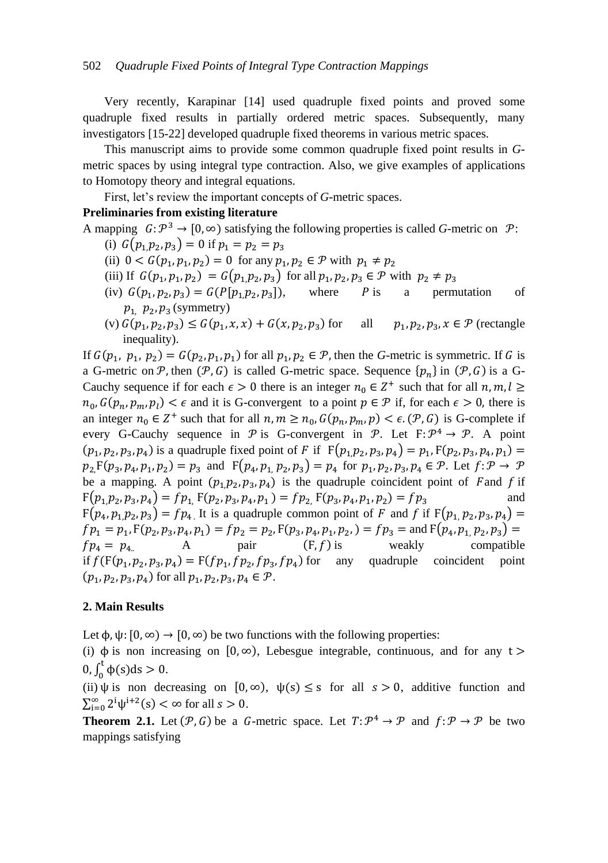Very recently, Karapinar [14] used quadruple fixed points and proved some quadruple fixed results in partially ordered metric spaces. Subsequently, many investigators [15-22] developed quadruple fixed theorems in various metric spaces.

 This manuscript aims to provide some common quadruple fixed point results in *G*metric spaces by using integral type contraction. Also, we give examples of applications to Homotopy theory and integral equations.

First, let's review the important concepts of *G*-metric spaces.

## **Preliminaries from existing literature**

- A mapping  $G: \mathcal{P}^3 \to [0, \infty)$  satisfying the following properties is called *G*-metric on  $\mathcal{P}$ :
	- (i)  $G(p_1, p_2, p_3) = 0$  if p
	- (ii)  $0 < G(p_1, p_1, p_2) = 0$  for any  $p_1, p_2 \in \mathcal{P}$  with p
	- (iii) If  $G(p_1, p_1, p_2) = G(p_1, p_2, p_3)$  for all  $p_1, p_2, p_3 \in \mathcal{P}$  with
	- (iv)  $G(p_1, p_2, p_3) = G(P[p_1, p_2, p_3])$ , where *P* is a permutation of  $p_1$ ,  $p_2$ ,  $p_3$  (symmetry)
	- (v)  $G(p_1, p_2, p_3) \le G(p_1, x, x) + G(x, p_2, p_3)$  for all  $p_1, p_2, p_3, x \in \mathcal{P}$  (rectangle inequality).

If  $G(p_1, p_1, p_2) = G(p_2, p_1, p_1)$  for all  $p_1, p_2 \in \mathcal{P}$ , then the *G*-metric is symmetric. If *G* is a G-metric on P, then  $(P, G)$  is called G-metric space. Sequence  $\{p_n\}$  in  $(P, G)$  is a G-Cauchy sequence if for each  $\epsilon > 0$  there is an integer  $n_0 \in \mathbb{Z}^+$  such that for all  $n_0, G(p_n, p_m, p_l) < \epsilon$  and it is G-convergent to a point  $p \in \mathcal{P}$  if, for each  $\epsilon > 0$ , there is an integer  $n_0 \in \mathbb{Z}^+$  such that for all  $n, m \geq n_0$ ,  $G(p_n, p_m, p) < \epsilon$ . (P, G) is G-complete if every G-Cauchy sequence in P is G-convergent in P. Let  $F: \mathcal{P}^4 \to \mathcal{P}$ . A point  $(p_1, p_2, p_3, p_4)$  is a quadruple fixed point of F if  $F(p_1, p_2, p_3, p_4) = p_1, F(p_2, p_3, p_4, p_1)$  $p_2 F(p_3, p_4, p_1, p_2) = p_3$  and  $F(p_4, p_1, p_2, p_3) = p_4$  for  $p_1, p_2, p_3, p_4 \in \mathcal{P}$ . Let be a mapping. A point  $(p_1, p_2, p_3, p_4)$  is the quadruple coincident point of Fand f if  $F(p_1, p_2, p_3, p_4) = fp_1$ ,  $F(p_2, p_3, p_4, p_1) = fp_2$ ,  $F(p_3, p_4, p_1, p_2) = fp_3$  and  $F(p_4, p_1, p_2, p_3) = fp_4$ . It is a quadruple common point of F and f if  $F(p_1, p_2, p_3, p_4) =$  $fp_1 = p_1$ ,  $F(p_2, p_3, p_4, p_1) = fp_2 = p_2$ ,  $F(p_3, p_4, p_1, p_2, ) = fp_3 =$  and  $F(p_4, p_1, p_2, p_3) =$  $fp_4 = p_4$  A pair  $(F, f)$  is weakly compatible if  $f(F(p_1, p_2, p_3, p_4) = F(fp_1, fp_2, fp_3, fp_4)$  for any quadruple coincident point  $(p_1, p_2, p_3, p_4)$  for all  $p_1, p_2, p_3, p_4 \in \mathcal{P}$ .

#### **2. Main Results**

Let  $\phi$ ,  $\psi$ :  $[0, \infty) \rightarrow [0, \infty)$  be two functions with the following properties:

(i)  $\phi$  is non increasing on  $[0, \infty)$ , Lebesgue integrable, continuous, and for any  $t >$ 0,  $\int_0^t \phi(s) ds > 0$ .

(ii)  $\psi$  is non decreasing on  $[0, \infty)$ ,  $\psi(s) \leq s$  for all  $s > 0$ , additive function and  $\sum_{i=0}^{\infty} 2^i \psi^{i+2}(s) < \infty$  for all  $s > 0$ .

**Theorem 2.1.** Let  $(P, G)$  be a G-metric space. Let  $T: \mathcal{P}^4 \to \mathcal{P}$  and  $f: \mathcal{P} \to \mathcal{P}$  be two mappings satisfying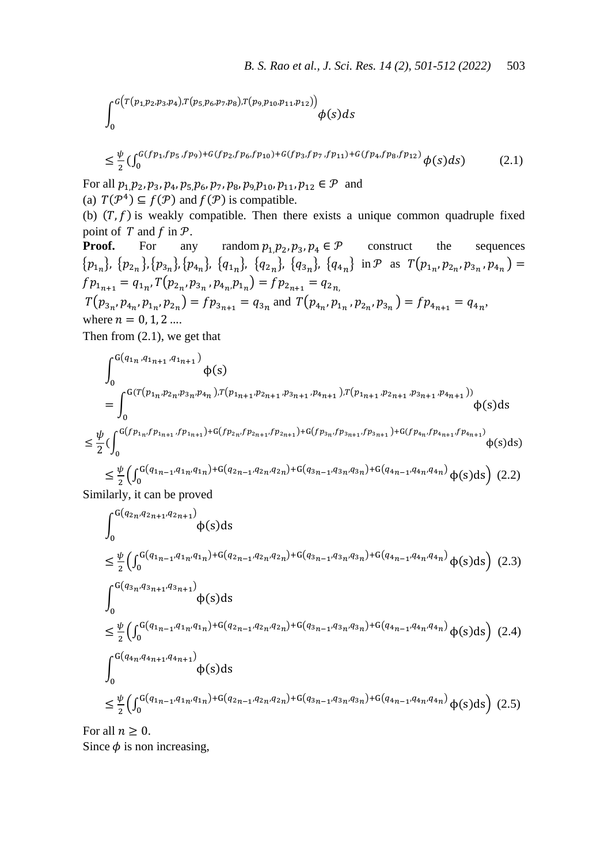$$
\int_0^{G(T(p_{1,P_2,P_3,P_4}),T(p_{5,P_6,P_7,P_8}),T(p_{9,P_{10},P_{11},P_{12}}))}\phi(s)ds
$$

$$
\leq \frac{\psi}{2} \left( \int_0^{G(f p_1, f p_5, f p_9) + G(f p_2, f p_6, f p_{10}) + G(f p_3, f p_7, f p_{11}) + G(f p_4, f p_8, f p_{12})} \phi(s) ds \right) \tag{2.1}
$$

For all  $p_1, p_2, p_3, p_4, p_5, p_6, p_7, p_8, p_9, p_{10}, p_{11}, p_{12} \in \mathcal{P}$  and (a)  $T(\mathcal{P}^4) \subseteq f(\mathcal{P})$  and  $f(\mathcal{P})$  is compatible.

(b)  $(T, f)$  is weakly compatible. Then there exists a unique common quadruple fixed point of  $T$  and  $f$  in  $\mathcal{P}$ .

**Proof.** For any random  $p_1, p_2, p_3, p_4 \in \mathcal{P}$  construct the sequences  $\{p_{1n}\}, \{p_{2n}\}, \{p_{3n}\}, \{p_{4n}\}, \{q_{1n}\}, \{q_{2n}\}, \{q_{3n}\}, \{q_{4n}\} \text{ in } \mathcal{P} \text{ as } T(p_{1n}, p_{2n}, p_{3n}, p_{4n}) =$  $f p_{1_{n+1}} = q_{1_n}, T(p_{2_n}, p_{3_n}, p_{4_n}, p_{1_n}) =$  $T(p_{3n}, p_{4n}, p_{1n}, p_{2n}) = fp_{3n+1} = q_{3n}$  and  $T(p_{4n}, p_{1n}, p_{2n}, p_{3n}) = fp_{4n+1} = q_{4n}$ where  $n = 0, 1, 2, ...$ 

Then from (2.1), we get that

$$
\int_{0}^{G(q_{1n}, q_{1n+1}, q_{1n+1})} \Phi(s)
$$
\n
$$
= \int_{0}^{G(T(p_{1n}, p_{2n}, p_{3n}, p_{4n}), T(p_{1n+1}, p_{2n+1}, p_{3n+1}, p_{4n+1}), T(p_{1n+1}, p_{2n+1}, p_{3n+1}, p_{4n+1}))} \Phi(s)ds
$$
\n
$$
\leq \frac{\psi}{2} \Big(\int_{0}^{G(fp_{1n}, fp_{1n+1}, fp_{1n+1}) + G(fp_{2n}, fp_{2n+1}, fp_{2n+1}) + G(fp_{3n}, fp_{3n+1}, fp_{3n+1}) + G(fp_{4n}, fp_{4n+1}, fp_{4n+1})} \Phi(s)ds\Big)
$$
\n
$$
\leq \frac{\psi}{2} \Big(\int_{0}^{G(q_{1n-1}, q_{1n}, q_{1n}) + G(q_{2n-1}, q_{2n}, q_{2n}) + G(q_{3n-1}, q_{3n}, q_{3n}) + G(q_{4n-1}, q_{4n}, q_{4n})} \Phi(s)ds\Big) (2.2)
$$
\nSimilarly, it can be proved.

Similarly, it can be proved

$$
\int_{0}^{G(q_{2n}, q_{2n+1}, q_{2n+1})} \phi(s)ds
$$
\n
$$
\leq \frac{\psi}{2} \Big( \int_{0}^{G(q_{1n-1}, q_{1n}, q_{1n}) + G(q_{2n-1}, q_{2n}, q_{2n}) + G(q_{3n-1}, q_{3n}, q_{3n}) + G(q_{4n-1}, q_{4n}, q_{4n})} \phi(s)ds \Big) (2.3)
$$
\n
$$
\int_{0}^{G(q_{3n}, q_{3n+1}, q_{3n+1})} \phi(s)ds
$$
\n
$$
\leq \frac{\psi}{2} \Big( \int_{0}^{G(q_{1n-1}, q_{1n}, q_{1n}) + G(q_{2n-1}, q_{2n}, q_{2n}) + G(q_{3n-1}, q_{3n}, q_{3n}) + G(q_{4n-1}, q_{4n}, q_{4n})} \phi(s)ds \Big) (2.4)
$$
\n
$$
\int_{0}^{G(q_{4n}, q_{4n+1}, q_{4n+1})} \phi(s)ds
$$
\n
$$
\leq \frac{\psi}{2} \Big( \int_{0}^{G(q_{1n-1}, q_{1n}, q_{1n}) + G(q_{2n-1}, q_{2n}, q_{2n}) + G(q_{3n-1}, q_{3n}, q_{3n}) + G(q_{4n-1}, q_{4n}, q_{4n})} \phi(s)ds \Big) (2.5)
$$

For all  $n \geq 0$ . Since  $\phi$  is non increasing,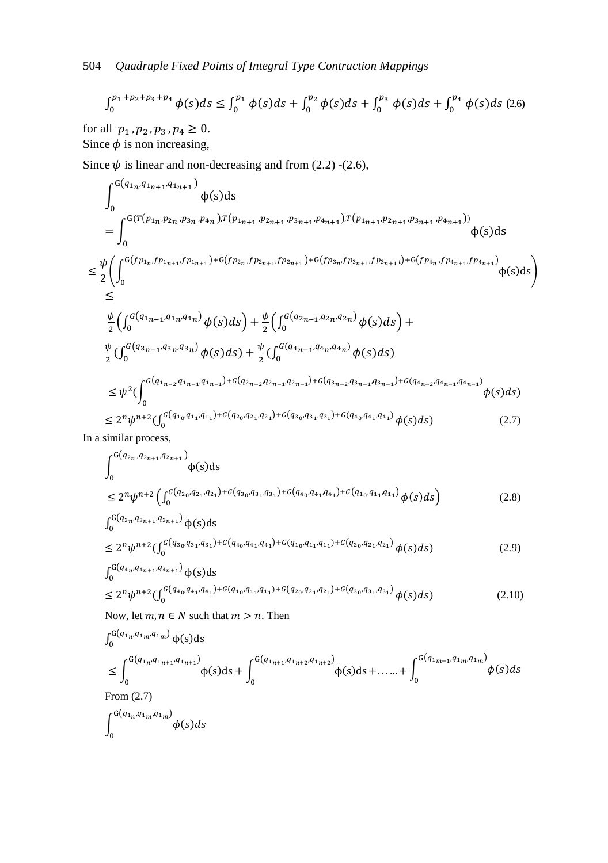$$
\int_0^{p_1+p_2+p_3+p_4} \phi(s)ds \le \int_0^{p_1} \phi(s)ds + \int_0^{p_2} \phi(s)ds + \int_0^{p_3} \phi(s)ds + \int_0^{p_4} \phi(s)ds \tag{2.6}
$$

for all  $p_1, p_2, p_3, p_4 \ge 0$ . Since  $\phi$  is non increasing,

Since  $\psi$  is linear and non-decreasing and from (2.2) -(2.6),

$$
\int_{0}^{G(q_{1n}q_{1n+1},q_{1n+1})}\n\phi(s)ds
$$
\n
$$
= \int_{0}^{G(T(p_{1n},p_{2n},p_{3n},p_{4n}),T(p_{1n+1},p_{2n+1},p_{3n+1},p_{4n+1}),T(p_{1n+1},p_{2n+1},p_{3n+1},p_{4n+1}))}\n\phi(s)ds
$$
\n
$$
\leq \frac{\psi}{2} \Biggl(\int_{0}^{G(p_{1n},fp_{1n+1},fp_{1n+1})+G(p_{2n},fp_{2n+1},fp_{2n+1})+G(p_{3n},fp_{3n+1},fp_{3n+1})+G(p_{4n},fp_{4n+1},fp_{4n+1})}\n\phi(s)ds\Biggr)
$$
\n
$$
\leq
$$
\n
$$
\frac{\psi}{2} \Biggl(\int_{0}^{G(q_{1n-1},q_{1n},q_{1n})}\n\phi(s)ds\Biggr)+\frac{\psi}{2} \Biggl(\int_{0}^{G(q_{2n-1},q_{2n},q_{2n})}\n\phi(s)ds\Biggr)+\n\frac{\psi}{2} \Biggl(\int_{0}^{G(q_{3n-1},q_{3n},q_{3n})}\n\phi(s)ds\Biggr)+\frac{\psi}{2} \Biggl(\int_{0}^{G(q_{4n-1},q_{4n},q_{4n})}\n\phi(s)ds\Biggr)
$$
\n
$$
\leq \psi^{2} \Biggl(\int_{0}^{G(q_{1n-2},q_{1n-1},q_{1n-1})+G(q_{2n-2},q_{2n-1},q_{2n-1})+G(q_{3n-2},q_{3n-1},q_{3n-1})+G(q_{4n-2},q_{4n-1},q_{4n-1})}\n\phi(s)ds\Biggr)
$$
\n
$$
\leq 2^{n}\psi^{n+2} \Biggl(\int_{0}^{G(q_{10},q_{11},q_{11})+G(q_{20},q_{21},q_{21})+G(q_{30},q_{31},q_{31})+G(q_{40},q_{41},q_{41})}\n\phi(s)ds\Biggr)
$$
\n(2.7)

In a similar process,

$$
\int_{0}^{G(q_{2n}, q_{2n+1}, q_{2n+1})} \phi(s) ds
$$
\n
$$
\leq 2^{n} \psi^{n+2} \left( \int_{0}^{G(q_{20}, q_{21}, q_{21}) + G(q_{30}, q_{31}, q_{31}) + G(q_{40}, q_{41}, q_{41}) + G(q_{10}, q_{11}, q_{11})} \phi(s) ds \right)
$$
\n(2.8)

$$
\int_{0}^{G(q_{3n}, q_{3n+1}, q_{3n+1})} \phi(s)ds
$$
  
< 2<sup>n</sup>1<sup>h+2</sup> (f<sup>G(q\_{30}, q\_{31}, q\_{31})+G(q\_{40}, q\_{41}, q\_{41})+G(q\_{10}, q\_{11}, q\_{11})+G(q\_{20}, q\_{21}, q\_{21})+G(s)ds) (29)</sup>

$$
\leq 2^{n} \psi^{n+2} \left( \int_{0}^{G(q_{3_{0}}q_{3_{1}}q_{3_{1}}) + G(q_{4_{0}}q_{4_{1}}q_{4_{1}}) + G(q_{1_{0}}q_{1_{1}}q_{1_{1}}) + G(q_{2_{0}}q_{2_{1}}q_{2_{1}})} \phi(s) ds \right)
$$
\n
$$
\int_{0}^{G(q_{4_{n}}q_{4_{n+1}}q_{4_{n+1}})} \phi(s) ds
$$
\n
$$
\leq 2^{n} \psi^{n+2} \left( \int_{0}^{G(q_{4_{0}}q_{4_{1}}q_{4_{1}}) + G(q_{1_{0}}q_{1_{1}}q_{1_{1}}) + G(q_{2_{0}}q_{2_{1}}q_{2_{1}}) + G(q_{3_{0}}q_{3_{1}}q_{3_{1}})} \phi(s) ds \right)
$$
\n
$$
(2.10)
$$

Now, let  $m, n \in N$  such that  $m > n$ . Then

$$
\int_{0}^{G(q_{1n}, q_{1m}, q_{1m})} \phi(s)ds
$$
\n
$$
\leq \int_{0}^{G(q_{1n}, q_{1n+1}, q_{1n+1})} \phi(s)ds + \int_{0}^{G(q_{1n+1}, q_{1n+2}, q_{1n+2})} \phi(s)ds + \dots + \int_{0}^{G(q_{1m-1}, q_{1m}, q_{1m})} \phi(s)ds
$$
\nFrom (2.7)\n
$$
\int_{0}^{G(q_{1n}, q_{1m}, q_{1m})} \phi(s)ds
$$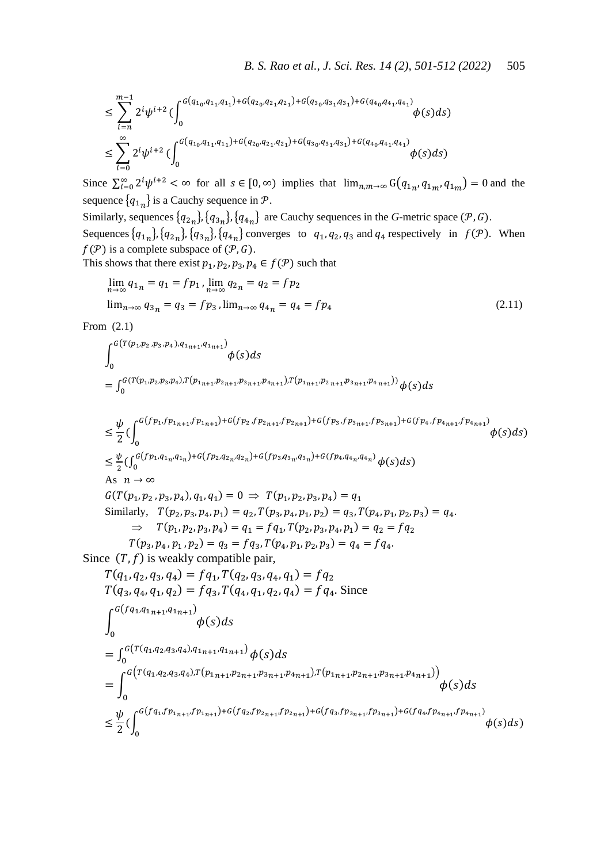$$
\leq \sum_{i=n}^{m-1} 2^i \psi^{i+2} \left( \int_0^{G\left(q_{1_0}, q_{1_1}, q_{1_1}\right) + G\left(q_{2_0}, q_{2_1}, q_{2_1}\right) + G\left(q_{3_0}, q_{3_1}, q_{3_1}\right) + G\left(q_{4_0}, q_{4_1}, q_{4_1}\right)} \phi(s) ds \right) \\ \leq \sum_{i=0}^{\infty} 2^i \psi^{i+2} \left( \int_0^{G\left(q_{1_0}, q_{1_1}, q_{1_1}\right) + G\left(q_{2_0}, q_{2_1}, q_{2_1}\right) + G\left(q_{3_0}, q_{3_1}, q_{3_1}\right) + G\left(q_{4_0}, q_{4_1}, q_{4_1}\right)} \phi(s) ds \right)
$$

Since  $\sum_{i=0}^{\infty} 2^i \psi^{i+2} < \infty$  for all  $s \in [0, \infty)$  implies that  $\lim_{n,m \to \infty} G(q_{1n}, q_{1m}, q_{1m}) = 0$  and the sequence  ${q_{1n}}$  is a Cauchy sequence in  $P$ .

Similarly, sequences  $\{q_{2n}\}, \{q_{3n}\}, \{q_{4n}\}\$  are Cauchy sequences in the *G*-metric space ( $\mathcal{P}, G$ ). Sequences  $\{q_{1n}\}, \{q_{2n}\}, \{q_{3n}\}, \{q_{4n}\}$  converges to  $q_1, q_2, q_3$  and  $q_4$  respectively in  $f(\mathcal{P})$ . When  $f(\mathcal{P})$  is a complete subspace of  $(\mathcal{P}, G)$ .

This shows that there exist  $p_1, p_2, p_3, p_4 \in f(\mathcal{P})$  such that

$$
\lim_{n \to \infty} q_{1n} = q_1 = f p_1, \lim_{n \to \infty} q_{2n} = q_2 = f p_2
$$
  
\n
$$
\lim_{n \to \infty} q_{3n} = q_3 = f p_3, \lim_{n \to \infty} q_{4n} = q_4 = f p_4
$$
\n(2.11)

From (2.1)

$$
\int_{0}^{G(T(p_{1},p_{2},p_{3},p_{4}),q_{1_{n+1}},q_{1_{n+1}})} \phi(s)ds
$$
\n
$$
= \int_{0}^{G(T(p_{1},p_{2},p_{3},p_{4}),T(p_{1_{n+1}},p_{2_{n+1}},p_{3_{n+1}},p_{4_{n+1}}),T(p_{1_{n+1}},p_{2_{n+1}},p_{3_{n+1}},p_{4_{n+1}}))} \phi(s)ds
$$

$$
\leq \frac{\psi}{2} \left( \int_{0}^{G(p_{1},p_{1_{n+1}},p_{1_{n+1}})+G(p_{2},p_{2_{n+1}},p_{2_{n+1}})+G(p_{3},p_{3_{n+1}},p_{3_{n+1}})+G(p_{4},p_{4_{n+1}},p_{4_{n+1}})}{\phi(s)ds} \right)
$$
\n
$$
\leq \frac{\psi}{2} \left( \int_{0}^{G(p_{1},q_{1_{n}},q_{1_{n}})+G(p_{2},q_{2_{n}},q_{2_{n}})+G(p_{3},q_{3_{n}},q_{3_{n}})+G(p_{4},q_{4_{n}},q_{4_{n}})}{\phi(s)ds} \right)
$$
\nAs  $n \to \infty$   
\n
$$
G(T(p_{1},p_{2},p_{3},p_{4}),q_{1},q_{1}) = 0 \Rightarrow T(p_{1},p_{2},p_{3},p_{4}) = q_{1}
$$
\nSimilarly,  $T(p_{2},p_{3},p_{4},p_{1}) = q_{2}, T(p_{3},p_{4},p_{1},p_{2}) = q_{3}, T(p_{4},p_{1},p_{2},p_{3}) = q_{4}.$   
\n
$$
\Rightarrow T(p_{1},p_{2},p_{3},p_{4}) = q_{1} = f q_{1}, T(p_{2},p_{3},p_{4},p_{1}) = q_{2} = f q_{2}
$$
\n
$$
T(p_{3},p_{4},p_{1},p_{2}) = q_{3} = f q_{3}, T(p_{4},p_{1},p_{2},p_{3}) = q_{4} = f q_{4}.
$$
\nSince  $(T, f)$  is weakly compatible pair,  
\n
$$
T(q_{1},q_{2},q_{3},q_{4}) = f q_{1}, T(q_{2},q_{3},q_{4},q_{1}) = f q_{2}
$$
\n
$$
T(q_{3},q_{4},q_{1},q_{2}) = f q_{3}, T(q_{4},q_{1},q_{2},q_{4}) = f q_{4}.
$$
 Since  
\n
$$
\int_{0}^{G(f(q_{1},q_{1},q_{1},q_{1},q_{1}))} \phi(s)ds
$$
\n
$$
= \int_{0}^{G(T(q_{1},q_{2},q_{3},q_{4}),q_{1_{n+1},q_{1_{n+1}})} \phi(s)ds
$$
\n
$$
= \int_{0}^{G(T
$$

$$
\leq \frac{\psi}{2} \Big(\int_0^{G(fq_1,f p_{1n+1},f p_{1n+1})+G(fq_2,f p_{2n+1},f p_{2n+1})+G(fq_3,f p_{3n+1},f p_{3n+1})+G(fq_4,f p_{4n+1},f p_{4n+1})}\phi(s)ds\Big)
$$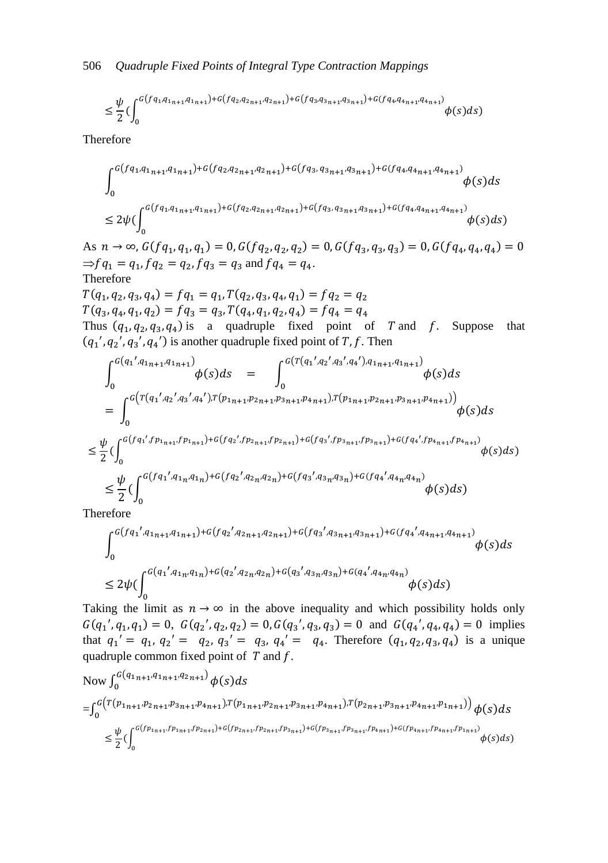$$
\leq \frac{\psi}{2} \Big(\int_0^{G(fq_1, q_{1n+1}, q_{1n+1}) + G(fq_2, q_{2n+1}, q_{2n+1}) + G(fq_3, q_{3n+1}, q_{3n+1}) + G(fq_4, q_{4n+1}, q_{4n+1})} \phi(s)ds\Big)
$$

Therefore

$$
\int_{0}^{G(fq_{1},q_{1n+1},q_{1n+1})+G(fq_{2},q_{2n+1},q_{2n+1})+G(fq_{3},q_{3n+1},q_{3n+1})+G(fq_{4},q_{4n+1},q_{4n+1})}\phi(s)ds
$$
  
\n
$$
\leq 2\psi(\int_{0}^{G(fq_{1},q_{1n+1},q_{1n+1})+G(fq_{2},q_{2n+1},q_{2n+1})+G(fq_{3},q_{3n+1},q_{3n+1})+G(fq_{4},q_{4n+1},q_{4n+1})}\phi(s)ds)
$$

As  $n \to \infty$ ,  $G(fq_1, q_1, q_1) = 0$ ,  $G(fq_2, q_2, q_2) = 0$ ,  $G(fq_3, q_3, q_3) = 0$ ,  $G(fq_4, q_4, q_4)$  $\Rightarrow$   $f q_1 = q_1, f q_2 = q_2, f q_3 = q_3$  and  $f q_4 = q_4$ . Therefore

 $T(q_1, q_2, q_3, q_4) = fq_1 = q_1, T(q_2, q_3, q_4, q_1)$  $T(q_3, q_4, q_1, q_2) = f q_3 = q_3, T(q_4, q_1, q_2, q_4)$ Thus  $(q_1, q_2, q_3, q_4)$  is a quadruple fixed point of T and f. Suppose that  $(q_1', q_2', q_3', q_4')$  is another quadruple fixed point of T, f. Then

$$
\int_{0}^{G(q_{1}',q_{1n+1},q_{1n+1})} \phi(s)ds = \int_{0}^{G(T(q_{1}',q_{2}',q_{3}',q_{4}'),q_{1n+1},q_{1n+1})} \phi(s)ds
$$
\n
$$
= \int_{0}^{G(T(q_{1}',q_{2}',q_{3}',q_{4}'),T(p_{1n+1},p_{2n+1},p_{3n+1},p_{4n+1}),T(p_{1n+1},p_{2n+1},p_{3n+1},p_{4n+1}))} \phi(s)ds
$$
\n
$$
\leq \frac{\psi}{2} \Big(\int_{0}^{G(f(q_{1}',f p_{1n+1},f p_{1n+1})+G(fq_{2}',f p_{2n+1},f p_{2n+1})+G(fq_{3}',f p_{3n+1},f p_{3n+1})+G(fq_{4}',f p_{4n+1},f p_{4n+1})} \phi(s)ds\Big)
$$
\n
$$
\leq \frac{\psi}{2} \Big(\int_{0}^{G(fq_{1}',q_{1n},q_{1n})+G(fq_{2}',q_{2n},q_{2n})+G(fq_{3}',q_{3n},q_{3n})+G(fq_{4}',q_{4n},q_{4n})} \phi(s)ds\Big)
$$

Therefore

$$
\int_{0}^{G(fq_{1}',q_{1n+1},q_{1n+1})+G(fq_{2}',q_{2n+1},q_{2n+1})+G(fq_{3}',q_{3n+1},q_{3n+1})+G(fq_{4}',q_{4n+1},q_{4n+1})}\phi(s)ds
$$
  

$$
\leq 2\psi(\int_{0}^{G(q_{1}',q_{1n},q_{1n})+G(q_{2}',q_{2n},q_{2n})+G(q_{3}',q_{3n},q_{3n})+G(q_{4}',q_{4n},q_{4n})}\phi(s)ds)
$$

Taking the limit as  $n \to \infty$  in the above inequality and which possibility holds only  $G(q_1', q_1, q_1) = 0$ ,  $G(q_2', q_2, q_2) = 0$ ,  $G(q_3', q_3, q_3) = 0$  and  $G(q_4', q_4, q_4) = 0$  implies that  $q_1' = q_1, q_2' = q_2, q_3' = q_3, q_4' = q_4$ . Therefore  $(q_1, q_2, q_3, q_4)$  is a unique quadruple common fixed point of  $T$  and  $f$ .

Now 
$$
\int_0^G (q_{1n+1}, q_{1n+1}, q_{2n+1}) \phi(s) ds
$$
  
= 
$$
\int_0^G (r_{1n+1}, p_{2n+1}, p_{3n+1}, p_{4n+1}), r_{(p_{1n+1}, p_{2n+1}, p_{3n+1}, p_{4n+1})}, r_{(p_{2n+1}, p_{3n+1}, p_{4n+1}, p_{1n+1})}) \phi(s) ds
$$
  

$$
\leq \frac{\psi}{2} \Big( \int_0^{G(p_{1n+1}, p_{1n+1}, p_{2n+1}) + G(p_{2n+1}, p_{2n+1}, p_{3n+1}) + G(p_{3n+1}, p_{2n+1}, p_{4n+1}) + G(p_{4n+1}, p_{4n+1}, p_{4n+1}, p_{4n+1})} \phi(s) ds \Big)
$$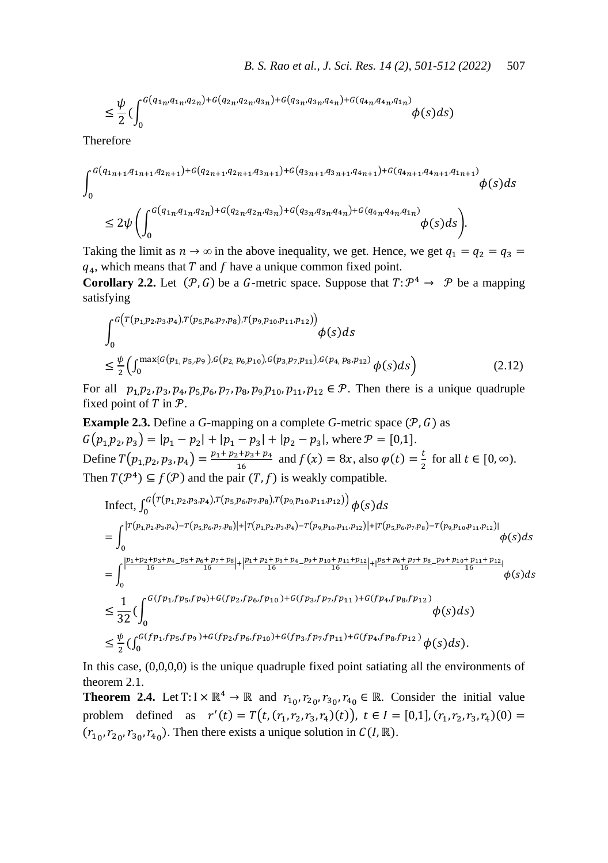$$
\leq \frac{\psi}{2} \Big(\int_{0}^{G\left(q_{1n}, q_{1n}, q_{2n}\right) + G\left(q_{2n}, q_{2n}, q_{3n}\right) + G\left(q_{3n}, q_{3n}, q_{4n}\right) + G\left(q_{4n}, q_{4n}, q_{1n}\right)} \phi(s) ds\Big)
$$

Therefore

$$
\int_{0}^{G(q_{1n+1},q_{1n+1},q_{2n+1})+G(q_{2n+1},q_{2n+1},q_{3n+1})+G(q_{3n+1},q_{3n+1},q_{4n+1})+G(q_{4n+1},q_{4n+1},q_{1n+1})} \phi(s)ds
$$
  

$$
\leq 2\psi \left( \int_{0}^{G(q_{1n},q_{1n},q_{2n})+G(q_{2n},q_{2n},q_{3n})+G(q_{3n},q_{3n},q_{4n})+G(q_{4n},q_{4n},q_{1n})} \phi(s)ds \right).
$$

Taking the limit as  $n \to \infty$  in the above inequality, we get. Hence, we get  $q_1 = q_2 = q_3$  $q_4$ , which means that T and f have a unique common fixed point.

**Corollary 2.2.** Let  $(P, G)$  be a G-metric space. Suppose that  $T: \mathcal{P}^4 \to \mathcal{P}$  be a mapping satisfying

$$
\int_{0}^{G(T(p_{1,}p_{2},p_{3},p_{4}),T(p_{5,}p_{6},p_{7},p_{8}),T(p_{9,}p_{10},p_{11},p_{12}))} \phi(s)ds
$$
\n
$$
\leq \frac{\psi}{2} \Big(\int_{0}^{\max\{G(p_{1,}p_{5},p_{9}),G(p_{2,}p_{6},p_{10}),G(p_{3,}p_{7},p_{11}),G(p_{4,}p_{8},p_{12})}\phi(s)ds\Big) \tag{2.12}
$$

For all  $p_1, p_2, p_3, p_4, p_5, p_6, p_7, p_8, p_9, p_{10}, p_{11}, p_{12} \in \mathcal{P}$ . Then there is a unique quadruple fixed point of  $T$  in  $\mathcal{P}$ .

**Example 2.3.** Define a *G*-mapping on a complete *G*-metric space  $(P, G)$  as  $G(p_1, p_2, p_3) = |p_1 - p_2| + |p_1 - p_3| + |p_2 - p_3|$ , where  $P = [0,1]$ . Define  $T(p_1, p_2, p_3, p_4) = \frac{p}{2}$  $\frac{a_1 + p_3 + p_4}{16}$  and  $f(x) = 8x$ , also  $\varphi(t) = \frac{t}{2}$  $\frac{1}{2}$  for all  $t \in [0, \infty)$ . Then  $T(P^4) \subseteq f(P)$  and the pair  $(T, f)$  is weakly compatible.

$$
\begin{split}\n\text{Infect, } & \int_{0}^{G} \left( \frac{T(p_1, p_2, p_3, p_4), T(p_5, p_6, p_7, p_8), T(p_9, p_{10}, p_{11}, p_{12})}{p_5p_6p_{7}, p_8p_{1}} \right) \phi(s) \, ds \\
&= \int_{0}^{\left| T(p_1, p_2, p_3, p_4) - T(p_5, p_6, p_7, p_8) \right| + \left| T(p_1, p_2, p_3, p_4) - T(p_9, p_{10}, p_{11}, p_{12}) \right| + \left| T(p_5, p_6, p_7, p_8) - T(p_9, p_{10}, p_{11}, p_{12}) \right|}{p_5p_5p_6p_{7}, p_{10}p_7}, \\
& \int_{0}^{\left| \frac{p_1 + p_2 + p_3 + p_4}{16} - \frac{p_5 + p_6 + p_7 + p_8}{16} \right| + \left| \frac{p_1 + p_2 + p_3 + p_4}{16} - \frac{p_9 + p_{10} + p_{11} + p_{12}}{16} \right| + \left| \frac{p_5 + p_6 + p_7 + p_8}{16} - \frac{p_9 + p_{10} + p_{11} + p_{12}}{16} \right|}{p_5p_6p_{12}} \\
&\leq \frac{1}{32} \Big( \int_{0}^{G} \left( \int_{0}^{G} (p_1, p_5, p_9) + G(p_2, p_6, p_{10}) + G(p_3, p_7, p_{11}) + G(p_4, p_8, p_{12}) \right) \phi(s) \, ds \\
&\leq \frac{\psi}{2} \Big( \int_{0}^{G} (p_1, p_5, p_9) + G(p_2, p_6, p_{10}) + G(p_3, p_7, p_{11}) + G(p_4, p_8, p_{12}) \right) \phi(s) \, ds.\n\end{split}
$$

In this case, (0,0,0,0) is the unique quadruple fixed point satiating all the environments of theorem 2.1.

**Theorem 2.4.** Let T:  $I \times \mathbb{R}^4 \to \mathbb{R}$  and  $r_{10}, r_{20}, r_{30}, r_{40} \in \mathbb{R}$ . Consider the initial value problem defined as  $r'(t) = T(t, (r_1, r_2, r_3, r_4)(t))$ ,  $t \in I = [0,1], (r_1, r_2, r_3, r_4)(0)$  $(r_{10}, r_{20}, r_{30}, r_{40})$ . Then there exists a unique solution in  $C(I, \mathbb{R})$ .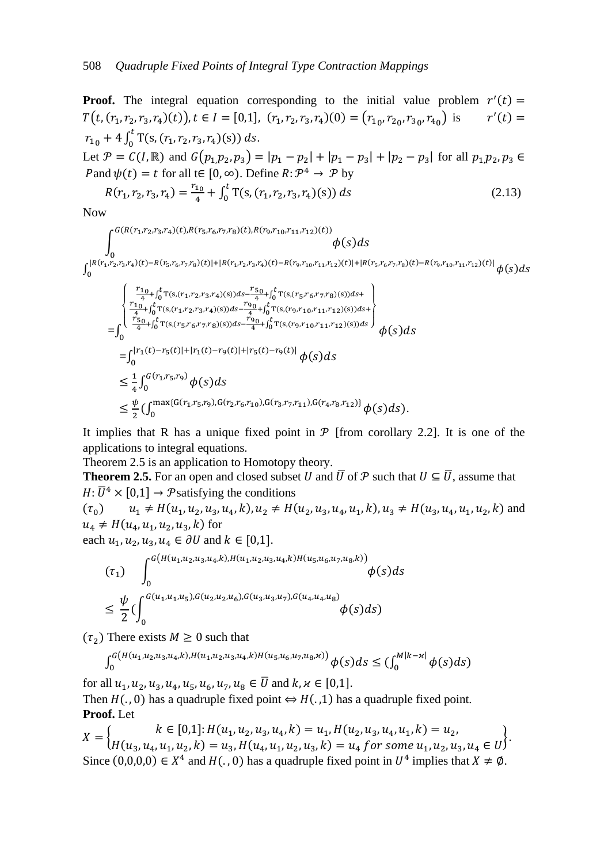**Proof.** The integral equation corresponding to the initial value problem  $r'(t)$  $T(t, (r_1, r_2, r_3, r_4)(t)), t \in I = [0,1], (r_1, r_2, r_3, r_4)(0) = (r_{1,0}, r_{2,0}, r_{3,0}, r_{4,0})$  is  $'(t)$  $r_{10} + 4 \int_0^t T(s, (r_1, r_2, r_3, r_4))$ (s  $\int_0^{\tau} T(s, (r_1, r_2, r_3, r_4)(s)) ds.$ Let  $\mathcal{P} = C(I, \mathbb{R})$  and  $G(p_1, p_2, p_3) = |p_1 - p_2| + |p_1 - p_3| + |p_2 - p_3|$  for all  $p_1, p_2$ , Pand  $\psi(t) = t$  for all  $t \in [0, \infty)$ . Define  $R: \mathcal{P}^4 \to \mathcal{P}$  by  $R(r_1, r_2, r_3, r_4) = \frac{r}{2}$  $\frac{1}{4}$  +  $\int_0^t T(s, (r_1, r_2, r_3, r_4))$  (s  $\bf{0}$  (2.13) Now

$$
\int_{0}^{G(R(r_{1},r_{2},r_{3},r_{4})(t),R(r_{5},r_{6},r_{7},r_{8})(t),R(r_{9},r_{10},r_{11},r_{12})(t))}\phi(s)ds
$$
\n
$$
\int_{0}^{[R(r_{1},r_{2},r_{3},r_{4})(t)-R(r_{5},r_{6},r_{7},r_{8})(t)]+[R(r_{1},r_{2},r_{3},r_{4})(t)-R(r_{9},r_{10},r_{11},r_{12})(t)]+[R(r_{5},r_{6},r_{7},r_{8})(t)-R(r_{9},r_{10},r_{11},r_{12})(t)]}\phi(s)ds
$$
\n
$$
=\int_{0}^{\frac{r_{10}}{4}+\int_{0}^{t}T(s,(r_{1},r_{2},r_{3},r_{4})(s))ds-\frac{r_{50}}{4}+\int_{0}^{t}T(s,(r_{5},r_{6},r_{7},r_{8})(s))ds+}\phi(s)ds
$$
\n
$$
=\int_{0}^{\frac{r_{50}}{4}+\int_{0}^{t}T(s,(r_{1},r_{2},r_{3},r_{4})(s))ds-\frac{r_{90}}{4}+\int_{0}^{t}T(s,(r_{9},r_{10},r_{11},r_{12})(s))ds}\phi(s)ds
$$
\n
$$
=\int_{0}^{\frac{r_{50}}{4}+\int_{0}^{t}T(s,(r_{5},r_{6},r_{7},r_{8})(s))ds-\frac{r_{90}}{4}+\int_{0}^{t}T(s,(r_{9},r_{10},r_{11},r_{12})(s))ds}\phi(s)ds
$$
\n
$$
\leq\frac{1}{4}\int_{0}^{G(r_{1},r_{5},r_{9})}\phi(s)ds
$$
\n
$$
\leq\frac{1}{4}\int_{0}^{G(r_{1},r_{5},r_{9})}\phi(s)ds
$$
\n
$$
\leq\frac{\psi}{2}(\int_{0}^{\max\{G(r_{1},r_{5},r_{9}),G(r_{2},r_{6},r_{10}),G(r_{3},r_{7},r_{11}),G(r_{4},r_{8},r_{12})\}}\phi(s)ds).
$$

It implies that R has a unique fixed point in  $\mathcal P$  [from corollary 2.2]. It is one of the applications to integral equations.

Theorem 2.5 is an application to Homotopy theory.

**Theorem 2.5.** For an open and closed subset U and  $\overline{U}$  of P such that  $U \subseteq \overline{U}$ , assume that  $H: \overline{U}^4 \times [0,1] \rightarrow \mathcal{P}$  satisfying the conditions

 $(\tau_0)$   $u_1 \neq H(u_1, u_2, u_3, u_4, k), u_2 \neq H(u_2, u_3, u_4, u_1, k), u_3 \neq H(u_3, u_4, u_1, u_2, k)$  and  $u_4 \neq H(u_4, u_1, u_2, u_3, k)$  for

each  $u_1, u_2, u_3, u_4 \in \partial U$  and  $k \in [0,1]$ .

$$
\begin{aligned} &\left(\tau_{1}\right) \quad \int_{0}^{G\left(H\left(u_{1},u_{2},u_{3},u_{4},k\right),H\left(u_{1},u_{2},u_{3},u_{4},k\right)H\left(u_{5},u_{6},u_{7},u_{8},k\right)\right)} \phi(s)ds \\ &\leq \frac{\psi}{2} \big(\int_{0}^{G\left(u_{1},u_{1},u_{5}\right),G\left(u_{2},u_{2},u_{6}\right),G\left(u_{3},u_{3},u_{7}\right),G\left(u_{4},u_{4},u_{8}\right)} \phi(s)ds\big) \end{aligned}
$$

 $(\tau_2)$  There exists  $M \geq 0$  such that

$$
\int_0^G (h(u_1, u_2, u_3, u_4, k), h(u_1, u_2, u_3, u_4, k) H(u_5, u_6, u_7, u_8, k)) \phi(s) ds \leq (\int_0^{M|k-\varkappa|} \phi(s) ds)
$$

for all  $u_1, u_2, u_3, u_4, u_5, u_6, u_7, u_8 \in \overline{U}$  and

Then  $H( ., 0)$  has a quadruple fixed point  $\Leftrightarrow H( ., 1)$  has a quadruple fixed point. **Proof.** Let

$$
X = \begin{cases} k \in [0,1]: H(u_1, u_2, u_3, u_4, k) = u_1, H(u_2, u_3, u_4, u_1, k) = u_2, \\ H(u_3, u_4, u_1, u_2, k) = u_3, H(u_4, u_1, u_2, u_3, k) = u_4 \text{ for some } u_1, u_2, u_3, u_4 \in U \end{cases}
$$
  
Since  $(0,0,0,0) \in X^4$  and  $H(., 0)$  has a quadruple fixed point in  $U^4$  implies that  $X \neq \emptyset$ .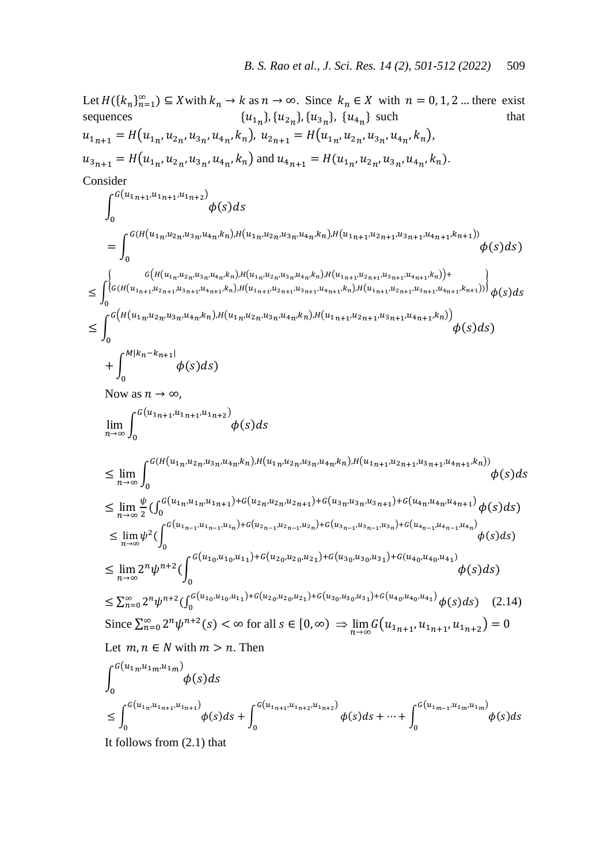Let  $H({k_n}_{n=1}^{\infty}) \subseteq X$  with  $k_n \to k$  as  $n \to \infty$ . Since  $k_n \in X$  with  $n = 0, 1, 2$  ... there exist sequences { },  $\{u_{2n}\}, \{u_{3n}\}, \{u_{4n}\}$  such that  $u_{1n+1} = H(u_{1n}, u_{2n}, u_{3n}, u_{4n}, k_n), u_{2n+1} = H(u_{1n}, u_{2n}, u_{3n}, u_{4n}, k_n),$  $u_{3n+1} = H(u_{1n}, u_{2n}, u_{3n}, u_{4n}, k_n)$  and  $u_{4n+1} = H(u_{1n}, u_{2n}, u_{3n}, u_{4n}, k_n)$ . Consider  $\phi(s)$  $G(u_{1n+1},u_{1n+1},u_{1n+2})$  $\bf{0}$  $=$  |  $\phi(s)$  $G(H(u_{1n},u_{2n},u_{3n},u_{4n},k_n),H(u_{1n},u_{2n},u_{3n},u_{4n},k_n),H(u_{1n+1},u_{2n+1},u_{3n+1},u_{4n+1},k_{n+1}))$  $\bf{0}$ )  $\leq \int_{0}^{1} G(H(u_{1n},u_{2n},u_{3n},u_{4n},k_n),H(u_{1n},u_{2n},u_{3n},u_{4n},k_n),H(u_{1n+1},u_{2n+1},u_{3n+1},u_{4n+1},k_n)) + \n\leq \int_{0}^{1} G(H(u_{1n+1},u_{2n+1},u_{3n+1},u_{4n+1},k_n),H(u_{1n+1},u_{2n+1},u_{3n+1},u_{4n+1},k_n)) \right) \phi(s)$  $G(H(u_{1n+1},u_{2n+1},u_{3n+1},u_{4n+1},k_n),H(u_{1n+1},u_{2n+1},u_{3n+1},u_{4n+1},k_n),H(u_{1n+1},u_{2n+1},u_{3n+1},u_{4n+1},k_n))$  $\bf{0}$  $\leq$  |  $\phi(s)$  $G(H(u_{1n},u_{2n},u_{3n},u_{4n},k_n),H(u_{1n},u_{2n},u_{3n},u_{4n},k_n),H(u_{1n+1},u_{2n+1},u_{3n+1},u_{4n+1},k_n))$  $\bf{0}$ )  $\phi(s)$  $M | k_n - k_{n+1} |$  $\bf{0}$ ) Now as  $n \to \infty$ ,  $\lim$   $\phi(s)$  $G(u_{1n+1},u_{1n+1},u_{1n+2})$  $\bf{0}$  $\leq$  lim  $\phi(s)$  $G(H(u_{1n},u_{2n},u_{3n},u_{4n},k_n),H(u_{1n},u_{2n},u_{3n},u_{4n},k_n),H(u_{1n+1},u_{2n+1},u_{3n+1},u_{4n+1},k_n))$  $\bf{0}$  $\leq$  lim  $\frac{\psi}{2}$  $\frac{\psi}{2}(\int_0^{G(u_{1n},u_{1n},u_{1n+1})+G(u_{2n},u_{2n},u_{2n+1})+G(u_{3n},u_{3n},u_{3n+1})+G(u_{4n},u_{4n},u_{4n+1})}\phi(s)$  $^{10}(u_{1n'}u_{1n'}u_{1n+1})^{10}(u_{2n'}u_{2n'}u_{2n+1})^{10}(u_{3n'}u_{3n'}u_{3n+1})^{10}(u_{4n'}u_{4n'}u_{4n+1})\phi(s)ds)$  $\leq \lim \psi^2$  ( $\int_0^{G(u_{1n-1}, u_{1n-1}, u_{1n})+G(u_{2n-1}, u_{2n-1}, u_{2n})+G(u_{3n-1}, u_{3n-1}, u_{3n})+G(u_{4n-1}, u_{4n-1}, u_{4n})}$   $\phi(s)$  $\bf{0}$  $\mathcal{)}$  $\leq$  lim  $2^n \psi^{n+2}$  ( $\phi(s)$  $G(u_{10},u_{10},u_{11})+G(u_{20},u_{20},u_{21})+G(u_{30},u_{30},u_{31})+G(u_{40},u_{40},u_{41})$  $\bf{0}$  $\leq \sum_{n=0}^{\infty} 2^n \psi^{n+2} \left( \int_0^{G(u_{1_0},u_{1_0},u_{1_1})+G(u_{2_0},u_{2_0},u_{2_1})+G(u_{3_0},u_{3_0},u_{3_1})+G(u_{4_0},u_{4_0},u_{4_1})} \phi(s) \right)$  $\sum_{n=0}^{\infty} 2^n \psi^{n+2} \left( \int_0^{u(u_1} v^{u_1} v^{u_1}) + \int_0^{u_2} v^{u_2} v^{u_2} v^{u_2} \right) + \int_0^{u_3} v^{u_3} v^{u_3} v^{u_3} \right) + \int_0^{u_4} (u_4 v^{u_4} v^{u_4}) + \int_0^{u_4} (s) ds$  (2.14) Since  $\sum_{n=0}^{\infty} 2^n \psi^{n+2}(s) < \infty$  for all  $s \in [0, \infty) \Rightarrow \lim_{n \to \infty} G(u_{1_{n+1}}, u_{1_{n+1}}, u_{1_{n+2}}) =$ Let  $m, n \in N$  with  $m > n$ . Then  $\phi(s)$  $G(u_{1n},u_{1m},u_{1m})$  $\bf{0}$  $\leq \int^{G(u_{1n},u_{1n+1},u_{1n+1})} \phi(s)$  $\int_0^{G(u_{1n}u_{1n+1},u_{1n+1})}\phi(s)ds + \int_0^{G(u_{1n+1},u_{1n+2},u_{1n+2})}\phi(s)ds + \cdots + \int_0^{G(u_{1m-1},u_{1m},u_{1m})}\phi(s)ds$  $\bf{0}$  $G(u_{1n+1}, u_{1n+2}, u_{1n+2})$  $\bf{0}$ 

It follows from (2.1) that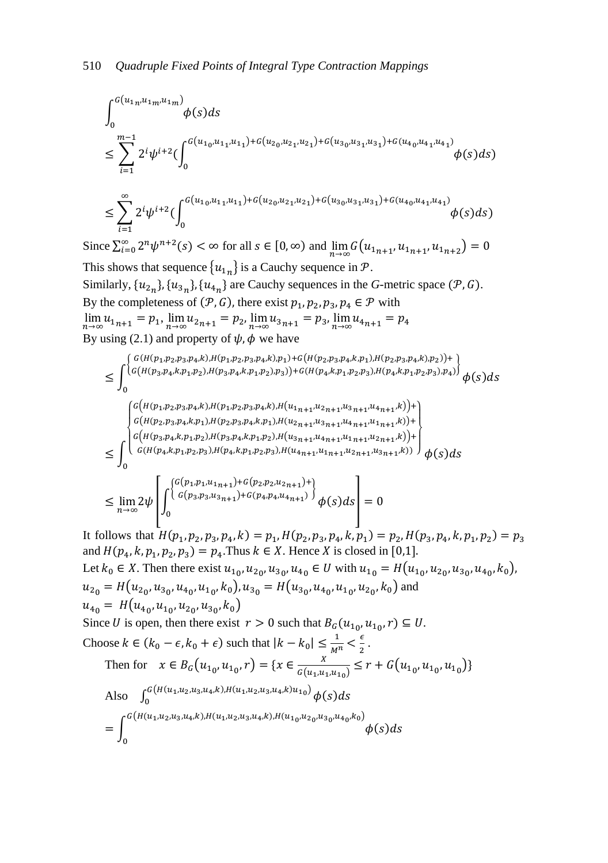∫ ( ( ) ∑ (∫ ( ( ) ( ) ( ) ( ∑ (∫ ( ( ) ( ) ( ) ( 

Since  $\sum_{i=0}^{\infty} 2^n \psi^{n+2}(s) < \infty$  for all  $s \in [0, \infty)$  and  $\lim_{n \to \infty} G(u_{1n+1}, u_{1n+1}, u_{1n+2}) =$ This shows that sequence  ${u_{1n}}$  is a Cauchy sequence in P. Similarly,  $\{u_{2n}\}, \{u_{3n}\}, \{u_{4n}\}$  are Cauchy sequences in the *G*-metric space  $(\mathcal{P}, G)$ . By the completeness of  $(\mathcal{P}, G)$ , there exist  $p_1, p_2, p_3, p_4 \in \mathcal{P}$  with  $\lim u_{1_{n+1}} = p_1$ ,  $\lim u_{2_{n+1}} = p_2$ ,  $\lim u_{3_{n+1}} = p_3$ ,  $\lim u$ By using (2.1) and property of  $\psi$ ,  $\phi$  we have

 ∫ ( { ( ( ( ( ( ( ) ( ( ( ) ( ( ( } ∫ ( { ( ( ( ( )) ( ( ( ( ) ( ( ( ( )) ( ( ( ( } [∫ ( { ( ) ( ) ( ) ( } ]

It follows that  $H(p_1, p_2, p_3, p_4, k) = p_1, H(p_2, p_3, p_4, k, p_1) = p_2, H(p_3, p_4, k, p_1, p_2)$ and  $H(p_4, k, p_1, p_2, p_3) = p_4$ . Thus  $k \in X$ . Hence X is closed in Let  $k_0 \in X$ . Then there exist  $u_{10}$ ,  $u_{20}$ ,  $u_{30}$ ,  $u_{40} \in U$  with  $u_{10} = H(u_{10}$ ,  $u_{20}$ ,  $u_{30}$ ,  $u_{40}$ ,  $k_0$ ),  $u_{2_0} = H(u_{2_0}, u_{3_0}, u_{4_0}, u_{1_0}, k_0), u_{3_0} = H(u_{3_0}, u_{4_0}, u_{1_0}, u_{2_0}, k_0)$  and  $u_{40} = H(u_{40}, u_{10}, u_{20}, u_{30}, k_0)$ Since U is open, then there exist  $r > 0$  such that  $B_G(u_{10}, u_{10}, r) \subseteq U$ . Choose  $k \in (k_0 - \epsilon, k_0 + \epsilon)$  such that  $|k - k_0| \leq \frac{1}{\epsilon}$ M  $\epsilon$  $\frac{e}{2}$ . Then for  $x \in B_G(u_{1,0}, u_{1,0}, r) = \{x \in \frac{X}{G(u, r)}\}$  $\frac{1}{G(u_1, u_1, u_{10})} \leq r + G(u_{10}, u_{10}, u_{10})$ Also  $\int_0^G (H(u_1,u_2,u_3,u_4,k),H(u_1,u_2,u_3,u_4,k)u_{10}) \phi(s)$  $\bf{0}$  $=$  |  $\phi(s)$  $G(H(u_1, u_2, u_3, u_4, k), H(u_1, u_2, u_3, u_4, k), H(u_1, u_2, u_3, u_4, k_0, k_0))$  $\bf{0}$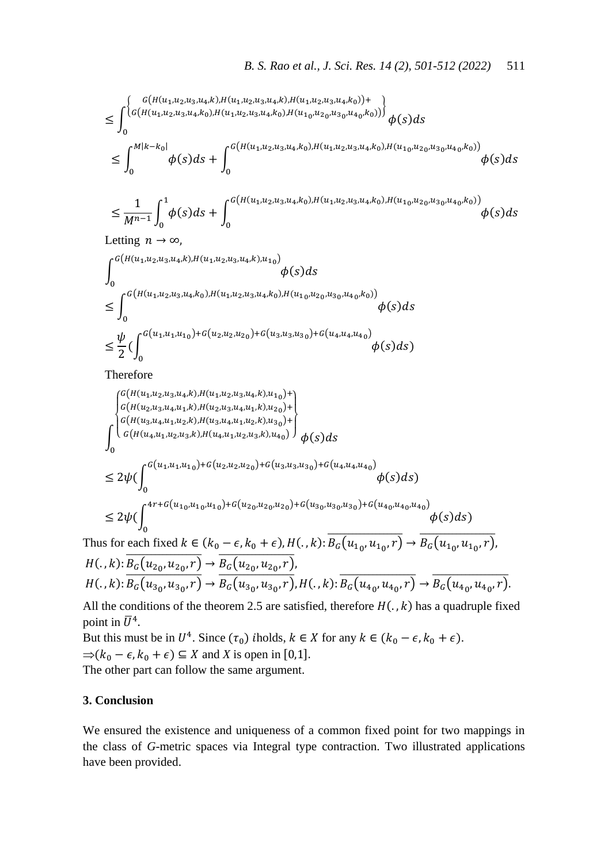$$
\leq \int_{0}^{\left\{\begin{subarray}{l} G\left(H\left(u_{1},u_{2},u_{3},u_{4},k\right),H\left(u_{1},u_{2},u_{3},u_{4},k\right),H\left(u_{1},u_{2},u_{3},u_{4},k_{0}\right)\right)+\\ 0\end{subarray}\right\}}{\left\{\begin{subarray}{l} G\left(H\left(u_{1},u_{2},u_{3},u_{4},k_{0}\right),H\left(u_{1},u_{2},u_{3},u_{4},k_{0}\right),H\left(u_{1},u_{2},u_{3},u_{4},k_{0}\right)\right)\right\}}{\phi(s)ds} \\ \leq \int_{0}^{M\left|k-k_{0}\right|} {\phi(s)ds} + \int_{0}^{G\left(H\left(u_{1},u_{2},u_{3},u_{4},k_{0}\right),H\left(u_{1},u_{2},u_{3},u_{4},k_{0}\right),H\left(u_{1},u_{2},u_{3},u_{4},k_{0}\right)\right)}{\phi(s)ds} \end{subarray}\right.
$$

$$
\leq \frac{1}{M^{n-1}}\int_0^1 \phi(s)ds + \int_0^{G\left(H\left(u_1,u_2,u_3,u_4,k_0\right),H\left(u_1,u_2,u_3,u_4,k_0\right),H\left(u_{1_0},u_{2_0},u_{3_0},u_{4_0},k_0\right)\right)} \phi(s)ds
$$

Letting 
$$
n \to \infty
$$
,

$$
\int_{0}^{G(H(u_{1},u_{2},u_{3},u_{4},k),H(u_{1},u_{2},u_{3},u_{4},k),u_{10})} \phi(s)ds
$$
\n
$$
\leq \int_{0}^{G(H(u_{1},u_{2},u_{3},u_{4},k_{0}),H(u_{1},u_{2},u_{3},u_{4},k_{0}),H(u_{10},u_{20},u_{30},u_{40},k_{0}))} \phi(s)ds
$$
\n
$$
\leq \frac{\psi}{2}(\int_{0}^{G(u_{1},u_{1},u_{10})+G(u_{2},u_{2},u_{20})+G(u_{3},u_{3},u_{30})+G(u_{4},u_{4},u_{40})} \phi(s)ds)
$$

Therefore

$$
\int_{G(H(u_{1},u_{2},u_{3},u_{4},k),H(u_{1},u_{2},u_{3},u_{4},k),u_{10})^{+}}^{G(H(u_{2},u_{3},u_{4},u_{1},k),H(u_{1},u_{2},u_{3},u_{4},u_{1},k),u_{10})^{+}} \int_{G(H(u_{3},u_{4},u_{1},u_{2},k),H(u_{3},u_{4},u_{1},u_{2},k),u_{30})^{+}}^{G(H(u_{3},u_{4},u_{1},u_{2},k),H(u_{3},u_{4},u_{1},u_{2},k),u_{30})^{+}} \phi(s)ds
$$
\n
$$
\leq 2\psi \Big(\int_{0}^{G(u_{1},u_{1},u_{1,0})+G(u_{2},u_{2},u_{2,0})+G(u_{3},u_{3},u_{30})+G(u_{4},u_{4},u_{4,0})} \phi(s)ds\Big)
$$
\n
$$
\leq 2\psi \Big(\int_{0}^{4r+G(u_{1,0},u_{1,0},u_{1,0})+G(u_{2,0},u_{2,0},u_{2,0})+G(u_{3,0},u_{3,0},u_{3,0})+G(u_{4,0},u_{4,0},u_{4,0})} \phi(s)ds\Big)
$$
\nThus for each fixed  $k \in (k_{0} - \epsilon, k_{0} + \epsilon), H(.)$ ,  $E_{G}(u_{1,0}, u_{1,0},r) \rightarrow E_{G}(u_{1,0},u_{1,0},r)$ ,

 $H(.)$ ;  $B_G(u_{2,0}, u_{2,0}, r) \rightarrow B_G(u_{2,0}, u_{2,0}, r)$  $H(.,k): \overline{B_G(u_{30}, u_{30}, r)} \rightarrow \overline{B_G(u_{30}, u_{30}, r)}$ ,  $H(.,k): \overline{B_G(u_{40}, u_{40}, r)} \rightarrow \overline{B_G(u_{40}, u_{40}, r)}$ .

All the conditions of the theorem 2.5 are satisfied, therefore  $H(., k)$  has a quadruple fixed point in  $\bar{U}^4$ .

But this must be in  $U^4$ . Since  $(\tau_0)$  iholds,  $k \in X$  for any  $k \in (k_0 - \epsilon, k_0 + \epsilon)$ .  $\Rightarrow$ ( $k_0 - \epsilon$ ,  $k_0 + \epsilon$ )  $\subseteq$  *X* and *X* is open in [0,1]. The other part can follow the same argument.

## **3. Conclusion**

We ensured the existence and uniqueness of a common fixed point for two mappings in the class of *G*-metric spaces via Integral type contraction. Two illustrated applications have been provided.